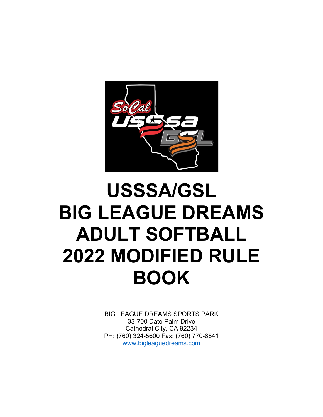

# **USSSA/GSL BIG LEAGUE DREAMS ADULT SOFTBALL 2022 MODIFIED RULE BOOK**

BIG LEAGUE DREAMS SPORTS PARK 33-700 Date Palm Drive Cathedral City, CA 92234 PH: (760) 324-5600 Fax: (760) 770-6541 www.bigleaguedreams.com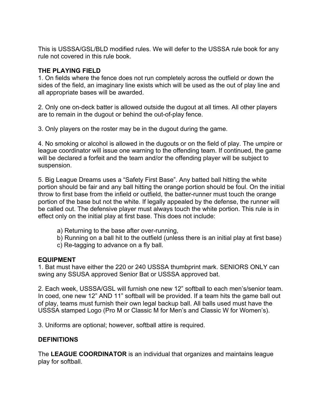This is USSSA/GSL/BLD modified rules. We will defer to the USSSA rule book for any rule not covered in this rule book.

# **THE PLAYING FIELD**

1. On fields where the fence does not run completely across the outfield or down the sides of the field, an imaginary line exists which will be used as the out of play line and all appropriate bases will be awarded.

2. Only one on-deck batter is allowed outside the dugout at all times. All other players are to remain in the dugout or behind the out-of-play fence.

3. Only players on the roster may be in the dugout during the game.

4. No smoking or alcohol is allowed in the dugouts or on the field of play. The umpire or league coordinator will issue one warning to the offending team. If continued, the game will be declared a forfeit and the team and/or the offending player will be subject to suspension.

5. Big League Dreams uses a "Safety First Base". Any batted ball hitting the white portion should be fair and any ball hitting the orange portion should be foul. On the initial throw to first base from the infield or outfield, the batter-runner must touch the orange portion of the base but not the white. If legally appealed by the defense, the runner will be called out. The defensive player must always touch the white portion. This rule is in effect only on the initial play at first base. This does not include:

- a) Returning to the base after over-running,
- b) Running on a ball hit to the outfield (unless there is an initial play at first base)
- c) Re-tagging to advance on a fly ball.

# **EQUIPMENT**

1. Bat must have either the 220 or 240 USSSA thumbprint mark. SENIORS ONLY can swing any SSUSA approved Senior Bat or USSSA approved bat.

2. Each week, USSSA/GSL will furnish one new 12" softball to each men's/senior team. In coed, one new 12" AND 11" softball will be provided. If a team hits the game ball out of play, teams must furnish their own legal backup ball. All balls used must have the USSSA stamped Logo (Pro M or Classic M for Men's and Classic W for Women's).

3. Uniforms are optional; however, softball attire is required.

# **DEFINITIONS**

The **LEAGUE COORDINATOR** is an individual that organizes and maintains league play for softball.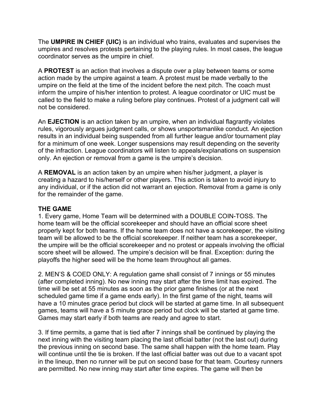The **UMPIRE IN CHIEF (UIC)** is an individual who trains, evaluates and supervises the umpires and resolves protests pertaining to the playing rules. In most cases, the league coordinator serves as the umpire in chief.

A **PROTEST** is an action that involves a dispute over a play between teams or some action made by the umpire against a team. A protest must be made verbally to the umpire on the field at the time of the incident before the next pitch. The coach must inform the umpire of his/her intention to protest. A league coordinator or UIC must be called to the field to make a ruling before play continues. Protest of a judgment call will not be considered.

An **EJECTION** is an action taken by an umpire, when an individual flagrantly violates rules, vigorously argues judgment calls, or shows unsportsmanlike conduct. An ejection results in an individual being suspended from all further league and/or tournament play for a minimum of one week. Longer suspensions may result depending on the severity of the infraction. League coordinators will listen to appeals/explanations on suspension only. An ejection or removal from a game is the umpire's decision.

A **REMOVAL** is an action taken by an umpire when his/her judgment, a player is creating a hazard to his/herself or other players. This action is taken to avoid injury to any individual, or if the action did not warrant an ejection. Removal from a game is only for the remainder of the game.

# **THE GAME**

1. Every game, Home Team will be determined with a DOUBLE COIN-TOSS. The home team will be the official scorekeeper and should have an official score sheet properly kept for both teams. If the home team does not have a scorekeeper, the visiting team will be allowed to be the official scorekeeper. If neither team has a scorekeeper, the umpire will be the official scorekeeper and no protest or appeals involving the official score sheet will be allowed. The umpire's decision will be final. Exception: during the playoffs the higher seed will be the home team throughout all games.

2. MEN'S & COED ONLY: A regulation game shall consist of 7 innings or 55 minutes (after completed inning). No new inning may start after the time limit has expired. The time will be set at 55 minutes as soon as the prior game finishes (or at the next scheduled game time if a game ends early). In the first game of the night, teams will have a 10 minutes grace period but clock will be started at game time. In all subsequent games, teams will have a 5 minute grace period but clock will be started at game time. Games may start early if both teams are ready and agree to start.

3. If time permits, a game that is tied after 7 innings shall be continued by playing the next inning with the visiting team placing the last official batter (not the last out) during the previous inning on second base. The same shall happen with the home team. Play will continue until the tie is broken. If the last official batter was out due to a vacant spot in the lineup, then no runner will be put on second base for that team. Courtesy runners are permitted. No new inning may start after time expires. The game will then be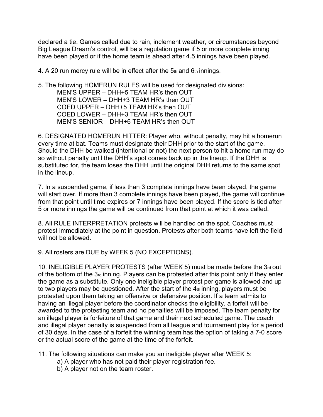declared a tie. Games called due to rain, inclement weather, or circumstances beyond Big League Dream's control, will be a regulation game if 5 or more complete inning have been played or if the home team is ahead after 4.5 innings have been played.

4. A 20 run mercy rule will be in effect after the  $5<sub>th</sub>$  and  $6<sub>th</sub>$  innings.

5. The following HOMERUN RULES will be used for designated divisions: MEN'S UPPER – DHH+5 TEAM HR's then OUT MEN'S LOWER – DHH+3 TEAM HR's then OUT COED UPPER – DHH+5 TEAM HR's then OUT COED LOWER – DHH+3 TEAM HR's then OUT MEN'S SENIOR – DHH+6 TEAM HR's then OUT

6. DESIGNATED HOMERUN HITTER: Player who, without penalty, may hit a homerun every time at bat. Teams must designate their DHH prior to the start of the game. Should the DHH be walked (intentional or not) the next person to hit a home run may do so without penalty until the DHH's spot comes back up in the lineup. If the DHH is substituted for, the team loses the DHH until the original DHH returns to the same spot in the lineup.

7. In a suspended game, if less than 3 complete innings have been played, the game will start over. If more than 3 complete innings have been played, the game will continue from that point until time expires or 7 innings have been played. If the score is tied after 5 or more innings the game will be continued from that point at which it was called.

8. All RULE INTERPRETATION protests will be handled on the spot. Coaches must protest immediately at the point in question. Protests after both teams have left the field will not be allowed.

9. All rosters are DUE by WEEK 5 (NO EXCEPTIONS).

10. INELIGIBLE PLAYER PROTESTS (after WEEK 5) must be made before the 3rd out of the bottom of the 3rd inning. Players can be protested after this point only if they enter the game as a substitute. Only one ineligible player protest per game is allowed and up to two players may be questioned. After the start of the 4th inning, players must be protested upon them taking an offensive or defensive position. If a team admits to having an illegal player before the coordinator checks the eligibility, a forfeit will be awarded to the protesting team and no penalties will be imposed. The team penalty for an illegal player is forfeiture of that game and their next scheduled game. The coach and illegal player penalty is suspended from all league and tournament play for a period of 30 days. In the case of a forfeit the winning team has the option of taking a 7-0 score or the actual score of the game at the time of the forfeit.

- 11. The following situations can make you an ineligible player after WEEK 5:
	- a) A player who has not paid their player registration fee.
	- b) A player not on the team roster.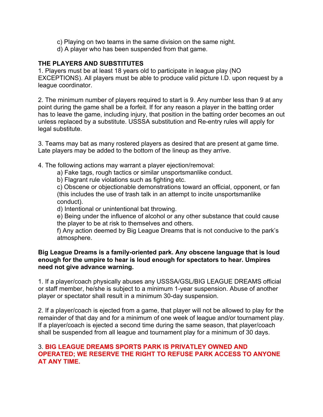- c) Playing on two teams in the same division on the same night.
- d) A player who has been suspended from that game.

## **THE PLAYERS AND SUBSTITUTES**

1. Players must be at least 18 years old to participate in league play (NO EXCEPTIONS). All players must be able to produce valid picture I.D. upon request by a league coordinator.

2. The minimum number of players required to start is 9. Any number less than 9 at any point during the game shall be a forfeit. If for any reason a player in the batting order has to leave the game, including injury, that position in the batting order becomes an out unless replaced by a substitute. USSSA substitution and Re-entry rules will apply for legal substitute.

3. Teams may bat as many rostered players as desired that are present at game time. Late players may be added to the bottom of the lineup as they arrive.

- 4. The following actions may warrant a player ejection/removal:
	- a) Fake tags, rough tactics or similar unsportsmanlike conduct.
	- b) Flagrant rule violations such as fighting etc.

c) Obscene or objectionable demonstrations toward an official, opponent, or fan (this includes the use of trash talk in an attempt to incite unsportsmanlike conduct).

d) Intentional or unintentional bat throwing.

e) Being under the influence of alcohol or any other substance that could cause the player to be at risk to themselves and others.

f) Any action deemed by Big League Dreams that is not conducive to the park's atmosphere.

#### **Big League Dreams is a family-oriented park. Any obscene language that is loud enough for the umpire to hear is loud enough for spectators to hear. Umpires need not give advance warning.**

1. If a player/coach physically abuses any USSSA/GSL/BIG LEAGUE DREAMS official or staff member, he/she is subject to a minimum 1-year suspension. Abuse of another player or spectator shall result in a minimum 30-day suspension.

2. If a player/coach is ejected from a game, that player will not be allowed to play for the remainder of that day and for a minimum of one week of league and/or tournament play. If a player/coach is ejected a second time during the same season, that player/coach shall be suspended from all league and tournament play for a minimum of 30 days.

#### 3. **BIG LEAGUE DREAMS SPORTS PARK IS PRIVATLEY OWNED AND OPERATED; WE RESERVE THE RIGHT TO REFUSE PARK ACCESS TO ANYONE AT ANY TIME.**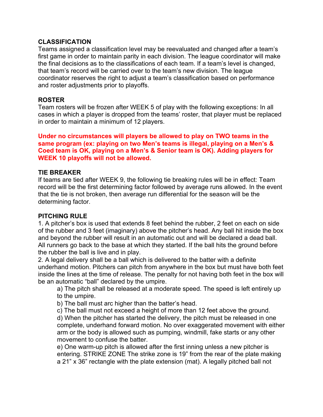#### **CLASSIFICATION**

Teams assigned a classification level may be reevaluated and changed after a team's first game in order to maintain parity in each division. The league coordinator will make the final decisions as to the classifications of each team. If a team's level is changed, that team's record will be carried over to the team's new division. The league coordinator reserves the right to adjust a team's classification based on performance and roster adjustments prior to playoffs.

#### **ROSTER**

Team rosters will be frozen after WEEK 5 of play with the following exceptions: In all cases in which a player is dropped from the teams' roster, that player must be replaced in order to maintain a minimum of 12 players.

**Under no circumstances will players be allowed to play on TWO teams in the same program (ex: playing on two Men's teams is illegal, playing on a Men's & Coed team is OK, playing on a Men's & Senior team is OK). Adding players for WEEK 10 playoffs will not be allowed.**

#### **TIE BREAKER**

If teams are tied after WEEK 9, the following tie breaking rules will be in effect: Team record will be the first determining factor followed by average runs allowed. In the event that the tie is not broken, then average run differential for the season will be the determining factor.

#### **PITCHING RULE**

1. A pitcher's box is used that extends 8 feet behind the rubber, 2 feet on each on side of the rubber and 3 feet (imaginary) above the pitcher's head. Any ball hit inside the box and beyond the rubber will result in an automatic out and will be declared a dead ball. All runners go back to the base at which they started. If the ball hits the ground before the rubber the ball is live and in play.

2. A legal delivery shall be a ball which is delivered to the batter with a definite underhand motion. Pitchers can pitch from anywhere in the box but must have both feet inside the lines at the time of release. The penalty for not having both feet in the box will be an automatic "ball" declared by the umpire.

a) The pitch shall be released at a moderate speed. The speed is left entirely up to the umpire.

b) The ball must arc higher than the batter's head.

c) The ball must not exceed a height of more than 12 feet above the ground. d) When the pitcher has started the delivery, the pitch must be released in one complete, underhand forward motion. No over exaggerated movement with either arm or the body is allowed such as pumping, windmill, fake starts or any other movement to confuse the batter.

e) One warm-up pitch is allowed after the first inning unless a new pitcher is entering. STRIKE ZONE The strike zone is 19" from the rear of the plate making a 21" x 36" rectangle with the plate extension (mat). A legally pitched ball not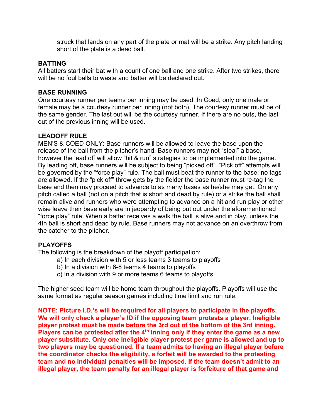struck that lands on any part of the plate or mat will be a strike. Any pitch landing short of the plate is a dead ball.

## **BATTING**

All batters start their bat with a count of one ball and one strike. After two strikes, there will be no foul balls to waste and batter will be declared out.

# **BASE RUNNING**

One courtesy runner per teams per inning may be used. In Coed, only one male or female may be a courtesy runner per inning (not both). The courtesy runner must be of the same gender. The last out will be the courtesy runner. If there are no outs, the last out of the previous inning will be used.

# **LEADOFF RULE**

MEN'S & COED ONLY: Base runners will be allowed to leave the base upon the release of the ball from the pitcher's hand. Base runners may not "steal" a base, however the lead off will allow "hit & run" strategies to be implemented into the game. By leading off, base runners will be subject to being "picked off". "Pick off" attempts will be governed by the "force play" rule. The ball must beat the runner to the base; no tags are allowed. If the "pick off" throw gets by the fielder the base runner must re-tag the base and then may proceed to advance to as many bases as he/she may get. On any pitch called a ball (not on a pitch that is short and dead by rule) or a strike the ball shall remain alive and runners who were attempting to advance on a hit and run play or other wise leave their base early are in jeopardy of being put out under the aforementioned "force play" rule. When a batter receives a walk the ball is alive and in play, unless the 4th ball is short and dead by rule. Base runners may not advance on an overthrow from the catcher to the pitcher.

# **PLAYOFFS**

The following is the breakdown of the playoff participation:

- a) In each division with 5 or less teams 3 teams to playoffs
- b) In a division with 6-8 teams 4 teams to playoffs
- c) In a division with 9 or more teams 6 teams to playoffs

The higher seed team will be home team throughout the playoffs. Playoffs will use the same format as regular season games including time limit and run rule.

**NOTE: Picture I.D.'s will be required for all players to participate in the playoffs. We will only check a player's ID if the opposing team protests a player. Ineligible player protest must be made before the 3rd out of the bottom of the 3rd inning. Players can be protested after the 4th inning only if they enter the game as a new player substitute. Only one ineligible player protest per game is allowed and up to two players may be questioned. If a team admits to having an illegal player before the coordinator checks the eligibility, a forfeit will be awarded to the protesting team and no individual penalties will be imposed. If the team doesn't admit to an illegal player, the team penalty for an illegal player is forfeiture of that game and**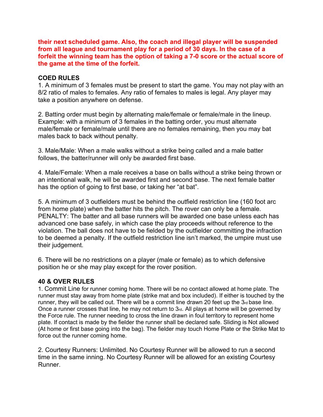**their next scheduled game. Also, the coach and illegal player will be suspended from all league and tournament play for a period of 30 days. In the case of a forfeit the winning team has the option of taking a 7-0 score or the actual score of the game at the time of the forfeit.**

## **COED RULES**

1. A minimum of 3 females must be present to start the game. You may not play with an 8/2 ratio of males to females. Any ratio of females to males is legal. Any player may take a position anywhere on defense.

2. Batting order must begin by alternating male/female or female/male in the lineup. Example: with a minimum of 3 females in the batting order, you must alternate male/female or female/male until there are no females remaining, then you may bat males back to back without penalty.

3. Male/Male: When a male walks without a strike being called and a male batter follows, the batter/runner will only be awarded first base.

4. Male/Female: When a male receives a base on balls without a strike being thrown or an intentional walk, he will be awarded first and second base. The next female batter has the option of going to first base, or taking her "at bat".

5. A minimum of 3 outfielders must be behind the outfield restriction line (160 foot arc from home plate) when the batter hits the pitch. The rover can only be a female. PENALTY: The batter and all base runners will be awarded one base unless each has advanced one base safely, in which case the play proceeds without reference to the violation. The ball does not have to be fielded by the outfielder committing the infraction to be deemed a penalty. If the outfield restriction line isn't marked, the umpire must use their judgement.

6. There will be no restrictions on a player (male or female) as to which defensive position he or she may play except for the rover position.

## **40 & OVER RULES**

1. Commit Line for runner coming home. There will be no contact allowed at home plate. The runner must stay away from home plate (strike mat and box included). If either is touched by the runner, they will be called out. There will be a commit line drawn 20 feet up the 3rd base line. Once a runner crosses that line, he may not return to 3rd. All plays at home will be governed by the Force rule. The runner needing to cross the line drawn in foul territory to represent home plate. If contact is made by the fielder the runner shall be declared safe. Sliding is Not allowed (At home or first base going into the bag). The fielder may touch Home Plate or the Strike Mat to force out the runner coming home.

2. Courtesy Runners: Unlimited. No Courtesy Runner will be allowed to run a second time in the same inning. No Courtesy Runner will be allowed for an existing Courtesy Runner.